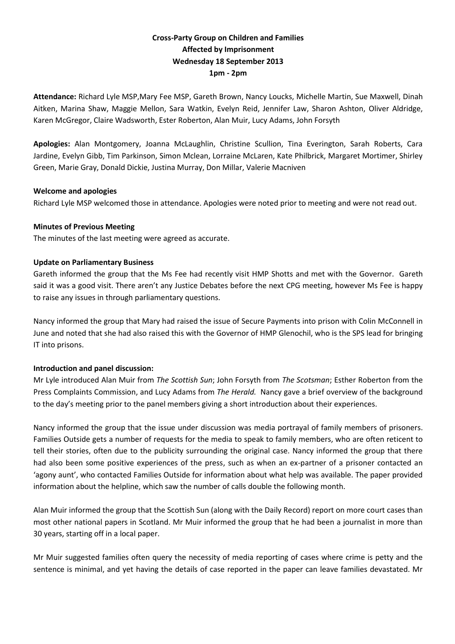# **Cross-Party Group on Children and Families Affected by Imprisonment Wednesday 18 September 2013 1pm - 2pm**

**Attendance:** Richard Lyle MSP,Mary Fee MSP, Gareth Brown, Nancy Loucks, Michelle Martin, Sue Maxwell, Dinah Aitken, Marina Shaw, Maggie Mellon, Sara Watkin, Evelyn Reid, Jennifer Law, Sharon Ashton, Oliver Aldridge, Karen McGregor, Claire Wadsworth, Ester Roberton, Alan Muir, Lucy Adams, John Forsyth

**Apologies:** Alan Montgomery, Joanna McLaughlin, Christine Scullion, Tina Everington, Sarah Roberts, Cara Jardine, Evelyn Gibb, Tim Parkinson, Simon Mclean, Lorraine McLaren, Kate Philbrick, Margaret Mortimer, Shirley Green, Marie Gray, Donald Dickie, Justina Murray, Don Millar, Valerie Macniven

### **Welcome and apologies**

Richard Lyle MSP welcomed those in attendance. Apologies were noted prior to meeting and were not read out.

### **Minutes of Previous Meeting**

The minutes of the last meeting were agreed as accurate.

### **Update on Parliamentary Business**

Gareth informed the group that the Ms Fee had recently visit HMP Shotts and met with the Governor. Gareth said it was a good visit. There aren't any Justice Debates before the next CPG meeting, however Ms Fee is happy to raise any issues in through parliamentary questions.

Nancy informed the group that Mary had raised the issue of Secure Payments into prison with Colin McConnell in June and noted that she had also raised this with the Governor of HMP Glenochil, who is the SPS lead for bringing IT into prisons.

# **Introduction and panel discussion:**

Mr Lyle introduced Alan Muir from *The Scottish Sun*; John Forsyth from *The Scotsman*; Esther Roberton from the Press Complaints Commission, and Lucy Adams from *The Herald.* Nancy gave a brief overview of the background to the day's meeting prior to the panel members giving a short introduction about their experiences.

Nancy informed the group that the issue under discussion was media portrayal of family members of prisoners. Families Outside gets a number of requests for the media to speak to family members, who are often reticent to tell their stories, often due to the publicity surrounding the original case. Nancy informed the group that there had also been some positive experiences of the press, such as when an ex-partner of a prisoner contacted an 'agony aunt', who contacted Families Outside for information about what help was available. The paper provided information about the helpline, which saw the number of calls double the following month.

Alan Muir informed the group that the Scottish Sun (along with the Daily Record) report on more court cases than most other national papers in Scotland. Mr Muir informed the group that he had been a journalist in more than 30 years, starting off in a local paper.

Mr Muir suggested families often query the necessity of media reporting of cases where crime is petty and the sentence is minimal, and yet having the details of case reported in the paper can leave families devastated. Mr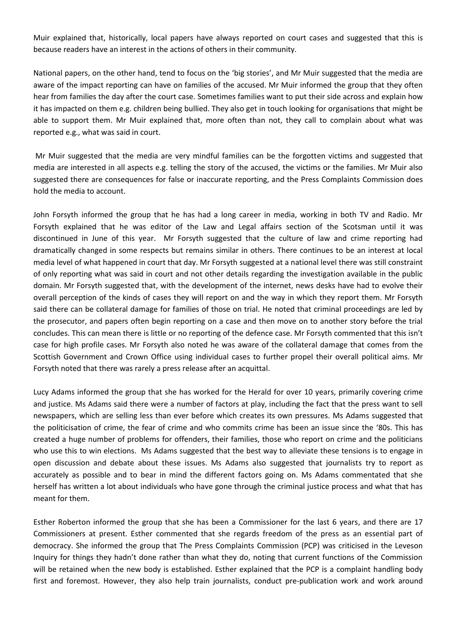Muir explained that, historically, local papers have always reported on court cases and suggested that this is because readers have an interest in the actions of others in their community.

National papers, on the other hand, tend to focus on the 'big stories', and Mr Muir suggested that the media are aware of the impact reporting can have on families of the accused. Mr Muir informed the group that they often hear from families the day after the court case. Sometimes families want to put their side across and explain how it has impacted on them e.g. children being bullied. They also get in touch looking for organisations that might be able to support them. Mr Muir explained that, more often than not, they call to complain about what was reported e.g., what was said in court.

Mr Muir suggested that the media are very mindful families can be the forgotten victims and suggested that media are interested in all aspects e.g. telling the story of the accused, the victims or the families. Mr Muir also suggested there are consequences for false or inaccurate reporting, and the Press Complaints Commission does hold the media to account.

John Forsyth informed the group that he has had a long career in media, working in both TV and Radio. Mr Forsyth explained that he was editor of the Law and Legal affairs section of the Scotsman until it was discontinued in June of this year. Mr Forsyth suggested that the culture of law and crime reporting had dramatically changed in some respects but remains similar in others. There continues to be an interest at local media level of what happened in court that day. Mr Forsyth suggested at a national level there was still constraint of only reporting what was said in court and not other details regarding the investigation available in the public domain. Mr Forsyth suggested that, with the development of the internet, news desks have had to evolve their overall perception of the kinds of cases they will report on and the way in which they report them. Mr Forsyth said there can be collateral damage for families of those on trial. He noted that criminal proceedings are led by the prosecutor, and papers often begin reporting on a case and then move on to another story before the trial concludes. This can mean there is little or no reporting of the defence case. Mr Forsyth commented that this isn't case for high profile cases. Mr Forsyth also noted he was aware of the collateral damage that comes from the Scottish Government and Crown Office using individual cases to further propel their overall political aims. Mr Forsyth noted that there was rarely a press release after an acquittal.

Lucy Adams informed the group that she has worked for the Herald for over 10 years, primarily covering crime and justice. Ms Adams said there were a number of factors at play, including the fact that the press want to sell newspapers, which are selling less than ever before which creates its own pressures. Ms Adams suggested that the politicisation of crime, the fear of crime and who commits crime has been an issue since the '80s. This has created a huge number of problems for offenders, their families, those who report on crime and the politicians who use this to win elections. Ms Adams suggested that the best way to alleviate these tensions is to engage in open discussion and debate about these issues. Ms Adams also suggested that journalists try to report as accurately as possible and to bear in mind the different factors going on. Ms Adams commentated that she herself has written a lot about individuals who have gone through the criminal justice process and what that has meant for them.

Esther Roberton informed the group that she has been a Commissioner for the last 6 years, and there are 17 Commissioners at present. Esther commented that she regards freedom of the press as an essential part of democracy. She informed the group that The Press Complaints Commission (PCP) was criticised in the Leveson Inquiry for things they hadn't done rather than what they do, noting that current functions of the Commission will be retained when the new body is established. Esther explained that the PCP is a complaint handling body first and foremost. However, they also help train journalists, conduct pre-publication work and work around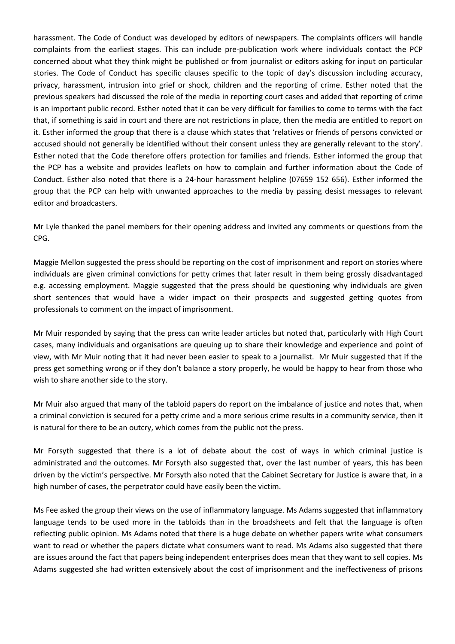harassment. The Code of Conduct was developed by editors of newspapers. The complaints officers will handle complaints from the earliest stages. This can include pre-publication work where individuals contact the PCP concerned about what they think might be published or from journalist or editors asking for input on particular stories. The Code of Conduct has specific clauses specific to the topic of day's discussion including accuracy, privacy, harassment, intrusion into grief or shock, children and the reporting of crime. Esther noted that the previous speakers had discussed the role of the media in reporting court cases and added that reporting of crime is an important public record. Esther noted that it can be very difficult for families to come to terms with the fact that, if something is said in court and there are not restrictions in place, then the media are entitled to report on it. Esther informed the group that there is a clause which states that 'relatives or friends of persons convicted or accused should not generally be identified without their consent unless they are generally relevant to the story'. Esther noted that the Code therefore offers protection for families and friends. Esther informed the group that the PCP has a website and provides leaflets on how to complain and further information about the Code of Conduct. Esther also noted that there is a 24-hour harassment helpline (07659 152 656). Esther informed the group that the PCP can help with unwanted approaches to the media by passing desist messages to relevant editor and broadcasters.

Mr Lyle thanked the panel members for their opening address and invited any comments or questions from the CPG.

Maggie Mellon suggested the press should be reporting on the cost of imprisonment and report on stories where individuals are given criminal convictions for petty crimes that later result in them being grossly disadvantaged e.g. accessing employment. Maggie suggested that the press should be questioning why individuals are given short sentences that would have a wider impact on their prospects and suggested getting quotes from professionals to comment on the impact of imprisonment.

Mr Muir responded by saying that the press can write leader articles but noted that, particularly with High Court cases, many individuals and organisations are queuing up to share their knowledge and experience and point of view, with Mr Muir noting that it had never been easier to speak to a journalist. Mr Muir suggested that if the press get something wrong or if they don't balance a story properly, he would be happy to hear from those who wish to share another side to the story.

Mr Muir also argued that many of the tabloid papers do report on the imbalance of justice and notes that, when a criminal conviction is secured for a petty crime and a more serious crime results in a community service, then it is natural for there to be an outcry, which comes from the public not the press.

Mr Forsyth suggested that there is a lot of debate about the cost of ways in which criminal justice is administrated and the outcomes. Mr Forsyth also suggested that, over the last number of years, this has been driven by the victim's perspective. Mr Forsyth also noted that the Cabinet Secretary for Justice is aware that, in a high number of cases, the perpetrator could have easily been the victim.

Ms Fee asked the group their views on the use of inflammatory language. Ms Adams suggested that inflammatory language tends to be used more in the tabloids than in the broadsheets and felt that the language is often reflecting public opinion. Ms Adams noted that there is a huge debate on whether papers write what consumers want to read or whether the papers dictate what consumers want to read. Ms Adams also suggested that there are issues around the fact that papers being independent enterprises does mean that they want to sell copies. Ms Adams suggested she had written extensively about the cost of imprisonment and the ineffectiveness of prisons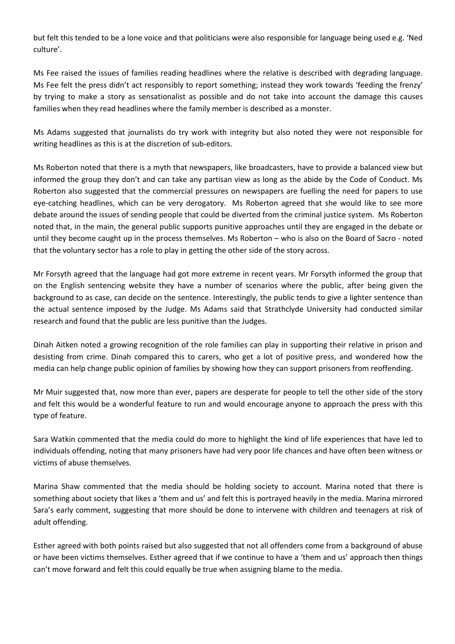but felt this tended to be a lone voice and that politicians were also responsible for language being used e.g. 'Ned culture'.

Ms Fee raised the issues of families reading headlines where the relative is described with degrading language. Ms Fee felt the press didn't act responsibly to report something; instead they work towards 'feeding the frenzy' by trying to make a story as sensationalist as possible and do not take into account the damage this causes families when they read headlines where the family member is described as a monster.

Ms Adams suggested that journalists do try work with integrity but also noted they were not responsible for writing headlines as this is at the discretion of sub-editors.

Ms Roberton noted that there is a myth that newspapers, like broadcasters, have to provide a balanced view but informed the group they don't and can take any partisan view as long as the abide by the Code of Conduct. Ms Roberton also suggested that the commercial pressures on newspapers are fuelling the need for papers to use eye-catching headlines, which can be very derogatory. Ms Roberton agreed that she would like to see more debate around the issues of sending people that could be diverted from the criminal justice system. Ms Roberton noted that, in the main, the general public supports punitive approaches until they are engaged in the debate or until they become caught up in the process themselves. Ms Roberton – who is also on the Board of Sacro - noted that the voluntary sector has a role to play in getting the other side of the story across.

Mr Forsyth agreed that the language had got more extreme in recent years. Mr Forsyth informed the group that on the English sentencing website they have a number of scenarios where the public, after being given the background to as case, can decide on the sentence. Interestingly, the public tends to give a lighter sentence than the actual sentence imposed by the Judge. Ms Adams said that Strathclyde University had conducted similar research and found that the public are less punitive than the Judges.

Dinah Aitken noted a growing recognition of the role families can play in supporting their relative in prison and desisting from crime. Dinah compared this to carers, who get a lot of positive press, and wondered how the media can help change public opinion of families by showing how they can support prisoners from reoffending.

Mr Muir suggested that, now more than ever, papers are desperate for people to tell the other side of the story and felt this would be a wonderful feature to run and would encourage anyone to approach the press with this type of feature.

Sara Watkin commented that the media could do more to highlight the kind of life experiences that have led to individuals offending, noting that many prisoners have had very poor life chances and have often been witness or victims of abuse themselves.

Marina Shaw commented that the media should be holding society to account. Marina noted that there is something about society that likes a 'them and us' and felt this is portrayed heavily in the media. Marina mirrored Sara's early comment, suggesting that more should be done to intervene with children and teenagers at risk of adult offending.

Esther agreed with both points raised but also suggested that not all offenders come from a background of abuse or have been victims themselves. Esther agreed that if we continue to have a 'them and us' approach then things can't move forward and felt this could equally be true when assigning blame to the media.